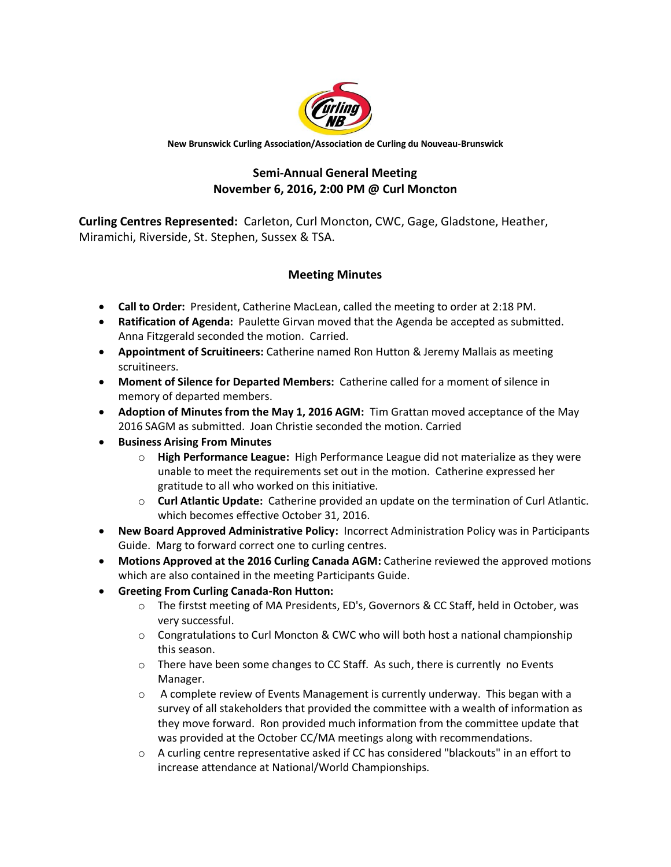

**New Brunswick Curling Association/Association de Curling du Nouveau-Brunswick**

## **Semi-Annual General Meeting November 6, 2016, 2:00 PM @ Curl Moncton**

**Curling Centres Represented:** Carleton, Curl Moncton, CWC, Gage, Gladstone, Heather, Miramichi, Riverside, St. Stephen, Sussex & TSA.

## **Meeting Minutes**

- **Call to Order:** President, Catherine MacLean, called the meeting to order at 2:18 PM.
- **Ratification of Agenda:** Paulette Girvan moved that the Agenda be accepted as submitted. Anna Fitzgerald seconded the motion. Carried.
- **Appointment of Scruitineers:** Catherine named Ron Hutton & Jeremy Mallais as meeting scruitineers.
- **Moment of Silence for Departed Members:** Catherine called for a moment of silence in memory of departed members.
- **Adoption of Minutes from the May 1, 2016 AGM:** Tim Grattan moved acceptance of the May 2016 SAGM as submitted. Joan Christie seconded the motion. Carried
- **Business Arising From Minutes**
	- o **High Performance League:** High Performance League did not materialize as they were unable to meet the requirements set out in the motion. Catherine expressed her gratitude to all who worked on this initiative.
	- o **Curl Atlantic Update:** Catherine provided an update on the termination of Curl Atlantic. which becomes effective October 31, 2016.
- **New Board Approved Administrative Policy:** Incorrect Administration Policy was in Participants Guide. Marg to forward correct one to curling centres.
- **Motions Approved at the 2016 Curling Canada AGM:** Catherine reviewed the approved motions which are also contained in the meeting Participants Guide.
- **Greeting From Curling Canada-Ron Hutton:** 
	- o The firstst meeting of MA Presidents, ED's, Governors & CC Staff, held in October, was very successful.
	- $\circ$  Congratulations to Curl Moncton & CWC who will both host a national championship this season.
	- $\circ$  There have been some changes to CC Staff. As such, there is currently no Events Manager.
	- $\circ$  A complete review of Events Management is currently underway. This began with a survey of all stakeholders that provided the committee with a wealth of information as they move forward. Ron provided much information from the committee update that was provided at the October CC/MA meetings along with recommendations.
	- o A curling centre representative asked if CC has considered "blackouts" in an effort to increase attendance at National/World Championships.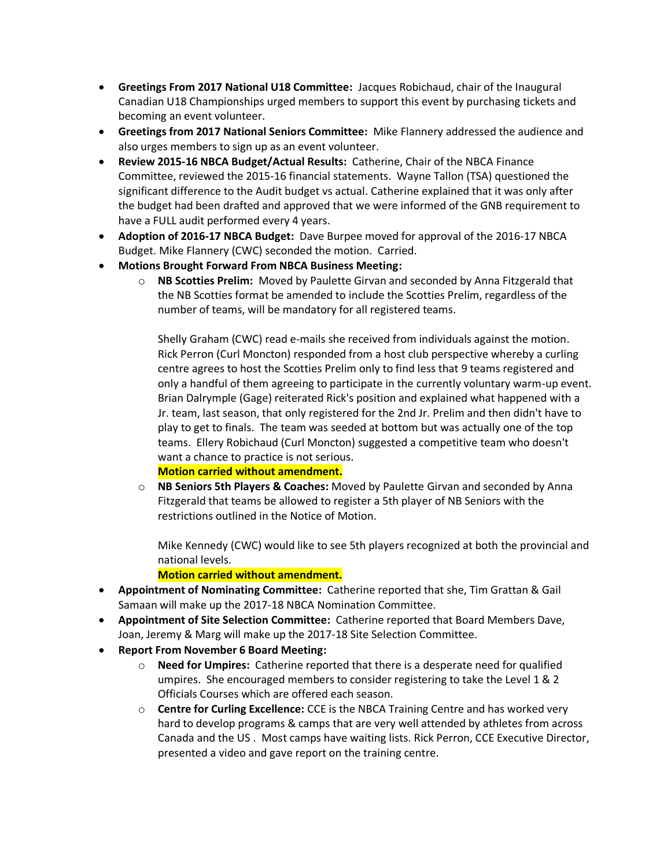- **Greetings From 2017 National U18 Committee:** Jacques Robichaud, chair of the Inaugural Canadian U18 Championships urged members to support this event by purchasing tickets and becoming an event volunteer.
- **Greetings from 2017 National Seniors Committee:** Mike Flannery addressed the audience and also urges members to sign up as an event volunteer.
- **Review 2015-16 NBCA Budget/Actual Results:** Catherine, Chair of the NBCA Finance Committee, reviewed the 2015-16 financial statements. Wayne Tallon (TSA) questioned the significant difference to the Audit budget vs actual. Catherine explained that it was only after the budget had been drafted and approved that we were informed of the GNB requirement to have a FULL audit performed every 4 years.
- **Adoption of 2016-17 NBCA Budget:** Dave Burpee moved for approval of the 2016-17 NBCA Budget. Mike Flannery (CWC) seconded the motion. Carried.
- **Motions Brought Forward From NBCA Business Meeting:**
	- o **NB Scotties Prelim:** Moved by Paulette Girvan and seconded by Anna Fitzgerald that the NB Scotties format be amended to include the Scotties Prelim, regardless of the number of teams, will be mandatory for all registered teams.

Shelly Graham (CWC) read e-mails she received from individuals against the motion. Rick Perron (Curl Moncton) responded from a host club perspective whereby a curling centre agrees to host the Scotties Prelim only to find less that 9 teams registered and only a handful of them agreeing to participate in the currently voluntary warm-up event. Brian Dalrymple (Gage) reiterated Rick's position and explained what happened with a Jr. team, last season, that only registered for the 2nd Jr. Prelim and then didn't have to play to get to finals. The team was seeded at bottom but was actually one of the top teams. Ellery Robichaud (Curl Moncton) suggested a competitive team who doesn't want a chance to practice is not serious.

## **Motion carried without amendment.**

o **NB Seniors 5th Players & Coaches:** Moved by Paulette Girvan and seconded by Anna Fitzgerald that teams be allowed to register a 5th player of NB Seniors with the restrictions outlined in the Notice of Motion.

Mike Kennedy (CWC) would like to see 5th players recognized at both the provincial and national levels.

## **Motion carried without amendment.**

- **Appointment of Nominating Committee:** Catherine reported that she, Tim Grattan & Gail Samaan will make up the 2017-18 NBCA Nomination Committee.
- **Appointment of Site Selection Committee:** Catherine reported that Board Members Dave, Joan, Jeremy & Marg will make up the 2017-18 Site Selection Committee.
- **Report From November 6 Board Meeting:**
	- o **Need for Umpires:** Catherine reported that there is a desperate need for qualified umpires. She encouraged members to consider registering to take the Level 1 & 2 Officials Courses which are offered each season.
	- o **Centre for Curling Excellence:** CCE is the NBCA Training Centre and has worked very hard to develop programs & camps that are very well attended by athletes from across Canada and the US . Most camps have waiting lists. Rick Perron, CCE Executive Director, presented a video and gave report on the training centre.